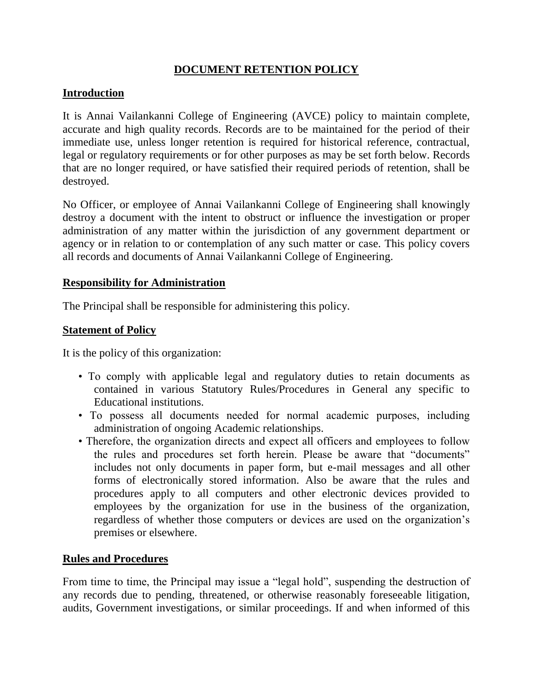# **DOCUMENT RETENTION POLICY**

## **Introduction**

It is Annai Vailankanni College of Engineering (AVCE) policy to maintain complete, accurate and high quality records. Records are to be maintained for the period of their immediate use, unless longer retention is required for historical reference, contractual, legal or regulatory requirements or for other purposes as may be set forth below. Records that are no longer required, or have satisfied their required periods of retention, shall be destroyed.

No Officer, or employee of Annai Vailankanni College of Engineering shall knowingly destroy a document with the intent to obstruct or influence the investigation or proper administration of any matter within the jurisdiction of any government department or agency or in relation to or contemplation of any such matter or case. This policy covers all records and documents of Annai Vailankanni College of Engineering.

#### **Responsibility for Administration**

The Principal shall be responsible for administering this policy.

## **Statement of Policy**

It is the policy of this organization:

- To comply with applicable legal and regulatory duties to retain documents as contained in various Statutory Rules/Procedures in General any specific to Educational institutions.
- To possess all documents needed for normal academic purposes, including administration of ongoing Academic relationships.
- Therefore, the organization directs and expect all officers and employees to follow the rules and procedures set forth herein. Please be aware that "documents" includes not only documents in paper form, but e-mail messages and all other forms of electronically stored information. Also be aware that the rules and procedures apply to all computers and other electronic devices provided to employees by the organization for use in the business of the organization, regardless of whether those computers or devices are used on the organization's premises or elsewhere.

## **Rules and Procedures**

From time to time, the Principal may issue a "legal hold", suspending the destruction of any records due to pending, threatened, or otherwise reasonably foreseeable litigation, audits, Government investigations, or similar proceedings. If and when informed of this